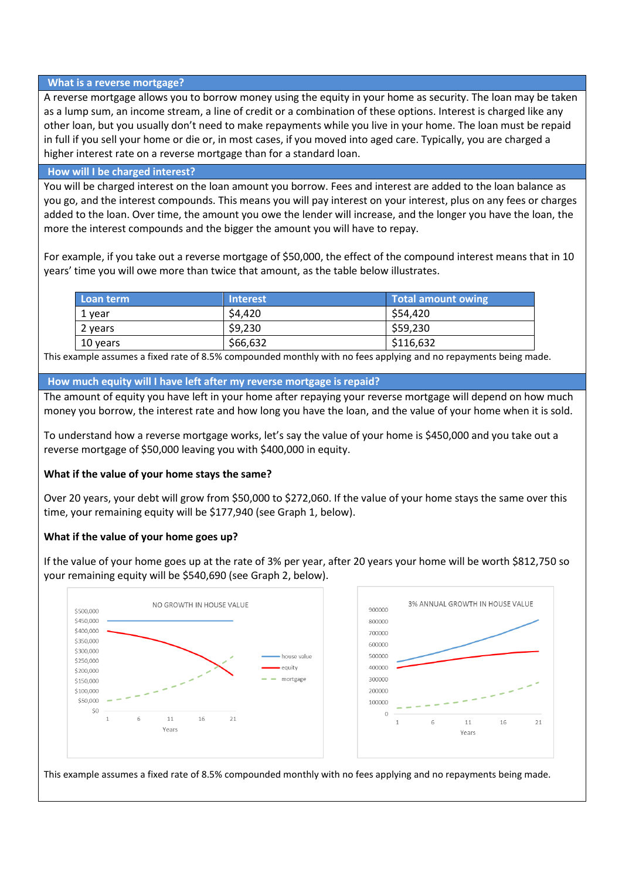#### **What is a reverse mortgage?**

A reverse mortgage allows you to borrow money using the equity in your home as security. The loan may be taken as a lump sum, an income stream, a line of credit or a combination of these options. Interest is charged like any other loan, but you usually don't need to make repayments while you live in your home. The loan must be repaid in full if you sell your home or die or, in most cases, if you moved into aged care. Typically, you are charged a higher interest rate on a reverse mortgage than for a standard loan.

#### **How will I be charged interest?**

You will be charged interest on the loan amount you borrow. Fees and interest are added to the loan balance as you go, and the interest compounds. This means you will pay interest on your interest, plus on any fees or charges added to the loan. Over time, the amount you owe the lender will increase, and the longer you have the loan, the more the interest compounds and the bigger the amount you will have to repay.

For example, if you take out a reverse mortgage of \$50,000, the effect of the compound interest means that in 10 years' time you will owe more than twice that amount, as the table below illustrates.

| <b>Loan term</b> | <b>Interest</b> | Total amount owing |
|------------------|-----------------|--------------------|
| 1 vear           | S4.420          | \$54.420           |
| 2 years          | \$9,230         | \$59,230           |
| 10 years         | \$66,632        | \$116,632          |

This example assumes a fixed rate of 8.5% compounded monthly with no fees applying and no repayments being made.

**How much equity will I have left after my reverse mortgage is repaid?**

The amount of equity you have left in your home after repaying your reverse mortgage will depend on how much money you borrow, the interest rate and how long you have the loan, and the value of your home when it is sold.

To understand how a reverse mortgage works, let's say the value of your home is \$450,000 and you take out a reverse mortgage of \$50,000 leaving you with \$400,000 in equity.

## **What if the value of your home stays the same?**

Over 20 years, your debt will grow from \$50,000 to \$272,060. If the value of your home stays the same over this time, your remaining equity will be \$177,940 (see Graph 1, below).

## **What if the value of your home goes up?**

If the value of your home goes up at the rate of 3% per year, after 20 years your home will be worth \$812,750 so your remaining equity will be \$540,690 (see Graph 2, below).



This example assumes a fixed rate of 8.5% compounded monthly with no fees applying and no repayments being made.